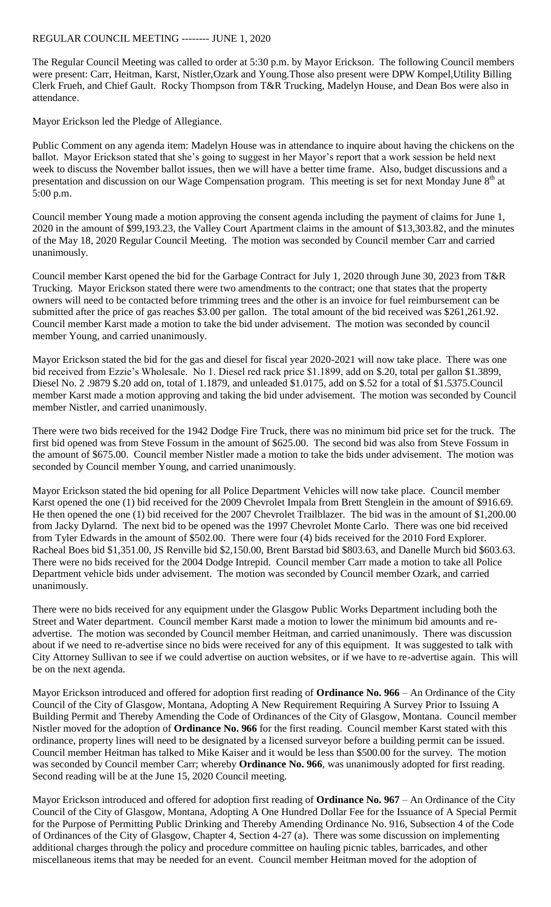## REGULAR COUNCIL MEETING -------- JUNE 1, 2020

The Regular Council Meeting was called to order at 5:30 p.m. by Mayor Erickson. The following Council members were present: Carr, Heitman, Karst, Nistler,Ozark and Young.Those also present were DPW Kompel,Utility Billing Clerk Frueh, and Chief Gault. Rocky Thompson from T&R Trucking, Madelyn House, and Dean Bos were also in attendance.

Mayor Erickson led the Pledge of Allegiance.

Public Comment on any agenda item: Madelyn House was in attendance to inquire about having the chickens on the ballot. Mayor Erickson stated that she's going to suggest in her Mayor's report that a work session be held next week to discuss the November ballot issues, then we will have a better time frame. Also, budget discussions and a presentation and discussion on our Wage Compensation program. This meeting is set for next Monday June 8<sup>th</sup> at 5:00 p.m.

Council member Young made a motion approving the consent agenda including the payment of claims for June 1, 2020 in the amount of \$99,193.23, the Valley Court Apartment claims in the amount of \$13,303.82, and the minutes of the May 18, 2020 Regular Council Meeting. The motion was seconded by Council member Carr and carried unanimously.

Council member Karst opened the bid for the Garbage Contract for July 1, 2020 through June 30, 2023 from T&R Trucking. Mayor Erickson stated there were two amendments to the contract; one that states that the property owners will need to be contacted before trimming trees and the other is an invoice for fuel reimbursement can be submitted after the price of gas reaches \$3.00 per gallon. The total amount of the bid received was \$261,261.92. Council member Karst made a motion to take the bid under advisement. The motion was seconded by council member Young, and carried unanimously.

Mayor Erickson stated the bid for the gas and diesel for fiscal year 2020-2021 will now take place. There was one bid received from Ezzie's Wholesale. No 1. Diesel red rack price \$1.1899, add on \$.20, total per gallon \$1.3899, Diesel No. 2 .9879 \$.20 add on, total of 1.1879, and unleaded \$1.0175, add on \$.52 for a total of \$1.5375.Council member Karst made a motion approving and taking the bid under advisement. The motion was seconded by Council member Nistler, and carried unanimously.

There were two bids received for the 1942 Dodge Fire Truck, there was no minimum bid price set for the truck. The first bid opened was from Steve Fossum in the amount of \$625.00. The second bid was also from Steve Fossum in the amount of \$675.00. Council member Nistler made a motion to take the bids under advisement. The motion was seconded by Council member Young, and carried unanimously.

Mayor Erickson stated the bid opening for all Police Department Vehicles will now take place. Council member Karst opened the one (1) bid received for the 2009 Chevrolet Impala from Brett Stenglein in the amount of \$916.69. He then opened the one (1) bid received for the 2007 Chevrolet Trailblazer. The bid was in the amount of \$1,200.00 from Jacky Dylarnd. The next bid to be opened was the 1997 Chevrolet Monte Carlo. There was one bid received from Tyler Edwards in the amount of \$502.00. There were four (4) bids received for the 2010 Ford Explorer. Racheal Boes bid \$1,351.00, JS Renville bid \$2,150.00, Brent Barstad bid \$803.63, and Danelle Murch bid \$603.63. There were no bids received for the 2004 Dodge Intrepid. Council member Carr made a motion to take all Police Department vehicle bids under advisement. The motion was seconded by Council member Ozark, and carried unanimously.

There were no bids received for any equipment under the Glasgow Public Works Department including both the Street and Water department. Council member Karst made a motion to lower the minimum bid amounts and readvertise. The motion was seconded by Council member Heitman, and carried unanimously. There was discussion about if we need to re-advertise since no bids were received for any of this equipment. It was suggested to talk with City Attorney Sullivan to see if we could advertise on auction websites, or if we have to re-advertise again. This will be on the next agenda.

Mayor Erickson introduced and offered for adoption first reading of **Ordinance No. 966** – An Ordinance of the City Council of the City of Glasgow, Montana, Adopting A New Requirement Requiring A Survey Prior to Issuing A Building Permit and Thereby Amending the Code of Ordinances of the City of Glasgow, Montana. Council member Nistler moved for the adoption of **Ordinance No. 966** for the first reading. Council member Karst stated with this ordinance, property lines will need to be designated by a licensed surveyor before a building permit can be issued. Council member Heitman has talked to Mike Kaiser and it would be less than \$500.00 for the survey. The motion was seconded by Council member Carr; whereby **Ordinance No. 966**, was unanimously adopted for first reading. Second reading will be at the June 15, 2020 Council meeting.

Mayor Erickson introduced and offered for adoption first reading of **Ordinance No. 967** – An Ordinance of the City Council of the City of Glasgow, Montana, Adopting A One Hundred Dollar Fee for the Issuance of A Special Permit for the Purpose of Permitting Public Drinking and Thereby Amending Ordinance No. 916, Subsection 4 of the Code of Ordinances of the City of Glasgow, Chapter 4, Section 4-27 (a). There was some discussion on implementing additional charges through the policy and procedure committee on hauling picnic tables, barricades, and other miscellaneous items that may be needed for an event. Council member Heitman moved for the adoption of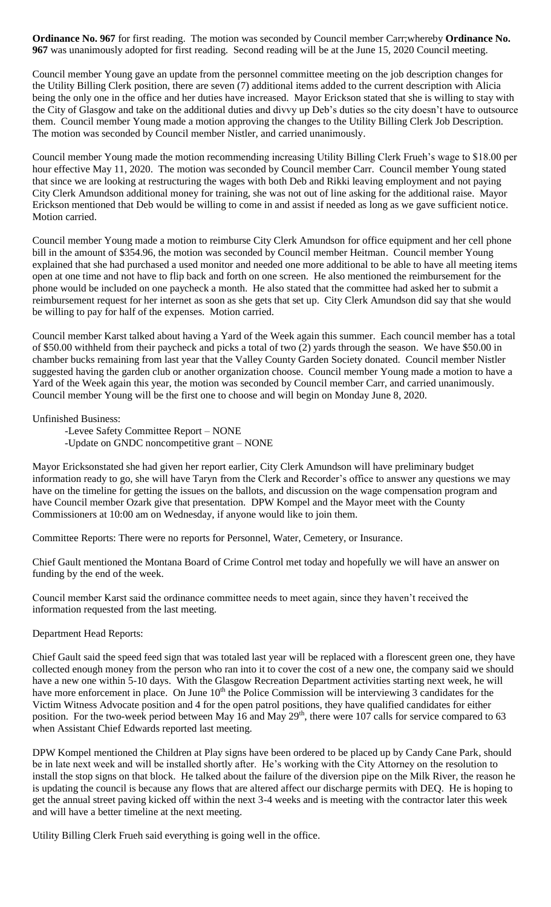**Ordinance No. 967** for first reading. The motion was seconded by Council member Carr;whereby **Ordinance No. 967** was unanimously adopted for first reading. Second reading will be at the June 15, 2020 Council meeting.

Council member Young gave an update from the personnel committee meeting on the job description changes for the Utility Billing Clerk position, there are seven (7) additional items added to the current description with Alicia being the only one in the office and her duties have increased. Mayor Erickson stated that she is willing to stay with the City of Glasgow and take on the additional duties and divvy up Deb's duties so the city doesn't have to outsource them. Council member Young made a motion approving the changes to the Utility Billing Clerk Job Description. The motion was seconded by Council member Nistler, and carried unanimously.

Council member Young made the motion recommending increasing Utility Billing Clerk Frueh's wage to \$18.00 per hour effective May 11, 2020. The motion was seconded by Council member Carr. Council member Young stated that since we are looking at restructuring the wages with both Deb and Rikki leaving employment and not paying City Clerk Amundson additional money for training, she was not out of line asking for the additional raise. Mayor Erickson mentioned that Deb would be willing to come in and assist if needed as long as we gave sufficient notice. Motion carried.

Council member Young made a motion to reimburse City Clerk Amundson for office equipment and her cell phone bill in the amount of \$354.96, the motion was seconded by Council member Heitman. Council member Young explained that she had purchased a used monitor and needed one more additional to be able to have all meeting items open at one time and not have to flip back and forth on one screen. He also mentioned the reimbursement for the phone would be included on one paycheck a month. He also stated that the committee had asked her to submit a reimbursement request for her internet as soon as she gets that set up. City Clerk Amundson did say that she would be willing to pay for half of the expenses. Motion carried.

Council member Karst talked about having a Yard of the Week again this summer. Each council member has a total of \$50.00 withheld from their paycheck and picks a total of two (2) yards through the season. We have \$50.00 in chamber bucks remaining from last year that the Valley County Garden Society donated. Council member Nistler suggested having the garden club or another organization choose. Council member Young made a motion to have a Yard of the Week again this year, the motion was seconded by Council member Carr, and carried unanimously. Council member Young will be the first one to choose and will begin on Monday June 8, 2020.

Unfinished Business:

-Levee Safety Committee Report – NONE -Update on GNDC noncompetitive grant – NONE

Mayor Ericksonstated she had given her report earlier, City Clerk Amundson will have preliminary budget information ready to go, she will have Taryn from the Clerk and Recorder's office to answer any questions we may have on the timeline for getting the issues on the ballots, and discussion on the wage compensation program and have Council member Ozark give that presentation. DPW Kompel and the Mayor meet with the County Commissioners at 10:00 am on Wednesday, if anyone would like to join them.

Committee Reports: There were no reports for Personnel, Water, Cemetery, or Insurance.

Chief Gault mentioned the Montana Board of Crime Control met today and hopefully we will have an answer on funding by the end of the week.

Council member Karst said the ordinance committee needs to meet again, since they haven't received the information requested from the last meeting.

## Department Head Reports:

Chief Gault said the speed feed sign that was totaled last year will be replaced with a florescent green one, they have collected enough money from the person who ran into it to cover the cost of a new one, the company said we should have a new one within 5-10 days. With the Glasgow Recreation Department activities starting next week, he will have more enforcement in place. On June 10<sup>th</sup> the Police Commission will be interviewing 3 candidates for the Victim Witness Advocate position and 4 for the open patrol positions, they have qualified candidates for either position. For the two-week period between May 16 and May  $29<sup>th</sup>$ , there were 107 calls for service compared to 63 when Assistant Chief Edwards reported last meeting.

DPW Kompel mentioned the Children at Play signs have been ordered to be placed up by Candy Cane Park, should be in late next week and will be installed shortly after. He's working with the City Attorney on the resolution to install the stop signs on that block. He talked about the failure of the diversion pipe on the Milk River, the reason he is updating the council is because any flows that are altered affect our discharge permits with DEQ. He is hoping to get the annual street paving kicked off within the next 3-4 weeks and is meeting with the contractor later this week and will have a better timeline at the next meeting.

Utility Billing Clerk Frueh said everything is going well in the office.